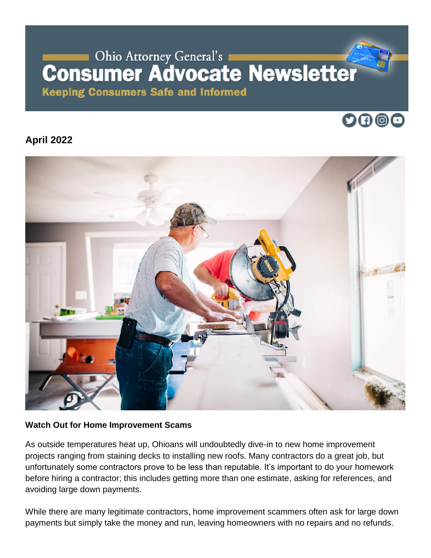# Ohio Attorney General's **Consumer Advocate Newsletter**

**Keeping Consumers Safe and Informed** 

## 0000

### **April 2022**



#### **Watch Out for Home Improvement Scams**

As outside temperatures heat up, Ohioans will undoubtedly dive-in to new home improvement projects ranging from staining decks to installing new roofs. Many contractors do a great job, but unfortunately some contractors prove to be less than reputable. It's important to do your homework before hiring a contractor; this includes getting more than one estimate, asking for references, and avoiding large down payments.

While there are many legitimate contractors, home improvement scammers often ask for large down payments but simply take the money and run, leaving homeowners with no repairs and no refunds.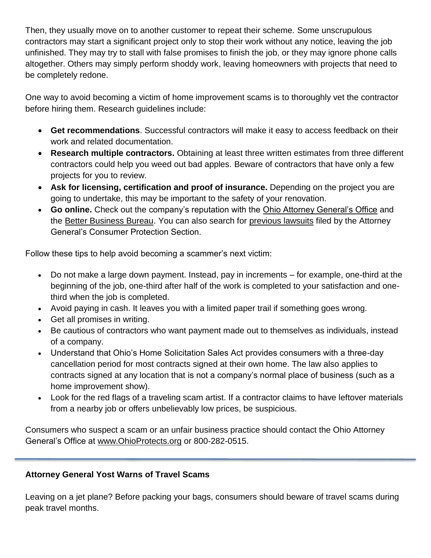Then, they usually move on to another customer to repeat their scheme. Some unscrupulous contractors may start a significant project only to stop their work without any notice, leaving the job unfinished. They may try to stall with false promises to finish the job, or they may ignore phone calls altogether. Others may simply perform shoddy work, leaving homeowners with projects that need to be completely redone.

One way to avoid becoming a victim of home improvement scams is to thoroughly vet the contractor before hiring them. Research guidelines include:

- **Get recommendations**. Successful contractors will make it easy to access feedback on their work and related documentation.
- **Research multiple contractors.** Obtaining at least three written estimates from three different contractors could help you weed out bad apples. Beware of contractors that have only a few projects for you to review.
- **Ask for licensing, certification and proof of insurance.** Depending on the project you are going to undertake, this may be important to the safety of your renovation.
- **Go online.** Check out the company's reputation with the [Ohio Attorney General's Office](https://www.ohioattorneygeneral.gov/Individuals-and-Families/Consumers/Search-Consumer-Complaints) and the [Better Business Bureau.](https://www.bbb.org/en/us) You can also search for [previous lawsuits](https://gcc02.safelinks.protection.outlook.com/?url=https%3A%2F%2Flawsuitsearch.ohioattorneygeneral.gov%2F&data=04%7C01%7CHannah.Hundley%40ohioattorneygeneral.gov%7C0b9f77b9f242485918cf08d8a749e251%7C16bb85b3d21e4dd2a07c7c114cf57b55%7C0%7C0%7C637443283054629832%7CUnknown%7CTWFpbGZsb3d8eyJWIjoiMC4wLjAwMDAiLCJQIjoiV2luMzIiLCJBTiI6Ik1haWwiLCJXVCI6Mn0%3D%7C1000&sdata=Z7kzN4ZETIKERECKeSSpHZcDr27UO%2B9e8EM1gt6E%2BUc%3D&reserved=0) filed by the Attorney General's Consumer Protection Section.

Follow these tips to help avoid becoming a scammer's next victim:

- Do not make a large down payment. Instead, pay in increments for example, one-third at the beginning of the job, one-third after half of the work is completed to your satisfaction and onethird when the job is completed.
- Avoid paying in cash. It leaves you with a limited paper trail if something goes wrong.
- Get all promises in writing.
- Be cautious of contractors who want payment made out to themselves as individuals, instead of a company.
- Understand that Ohio's Home Solicitation Sales Act provides consumers with a three-day cancellation period for most contracts signed at their own home. The law also applies to contracts signed at any location that is not a company's normal place of business (such as a home improvement show).
- Look for the red flags of a traveling scam artist. If a contractor claims to have leftover materials from a nearby job or offers unbelievably low prices, be suspicious.

Consumers who suspect a scam or an unfair business practice should contact the Ohio Attorney General's Office at [www.OhioProtects.org](http://www.ohioprotects.org/) or 800-282-0515.

#### **Attorney General Yost Warns of Travel Scams**

Leaving on a jet plane? Before packing your bags, consumers should beware of travel scams during peak travel months.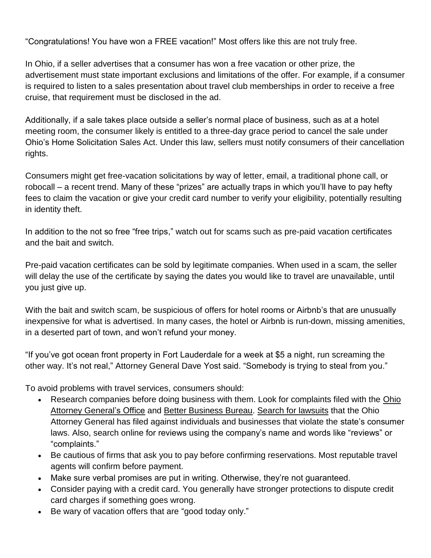"Congratulations! You have won a FREE vacation!" Most offers like this are not truly free.

In Ohio, if a seller advertises that a consumer has won a free vacation or other prize, the advertisement must state important exclusions and limitations of the offer. For example, if a consumer is required to listen to a sales presentation about travel club memberships in order to receive a free cruise, that requirement must be disclosed in the ad.

Additionally, if a sale takes place outside a seller's normal place of business, such as at a hotel meeting room, the consumer likely is entitled to a three-day grace period to cancel the sale under Ohio's Home Solicitation Sales Act. Under this law, sellers must notify consumers of their cancellation rights.

Consumers might get free-vacation solicitations by way of letter, email, a traditional phone call, or robocall – a recent trend. Many of these "prizes" are actually traps in which you'll have to pay hefty fees to claim the vacation or give your credit card number to verify your eligibility, potentially resulting in identity theft.

In addition to the not so free "free trips," watch out for scams such as pre-paid vacation certificates and the bait and switch.

Pre-paid vacation certificates can be sold by legitimate companies. When used in a scam, the seller will delay the use of the certificate by saying the dates you would like to travel are unavailable, until you just give up.

With the bait and switch scam, be suspicious of offers for hotel rooms or Airbnb's that are unusually inexpensive for what is advertised. In many cases, the hotel or Airbnb is run-down, missing amenities, in a deserted part of town, and won't refund your money.

"If you've got ocean front property in Fort Lauderdale for a week at \$5 a night, run screaming the other way. It's not real," Attorney General Dave Yost said. "Somebody is trying to steal from you."

To avoid problems with travel services, consumers should:

- Research companies before doing business with them. Look for complaints filed with the [Ohio](https://www.ohioattorneygeneral.gov/Individuals-and-Families/Consumers/Search-Consumer-Complaints)  [Attorney General's Office](https://www.ohioattorneygeneral.gov/Individuals-and-Families/Consumers/Search-Consumer-Complaints) and [Better Business Bureau.](https://www.bbb.org/en/us) [Search for lawsuits](https://lawsuitsearch.ohioattorneygeneral.gov/) that the Ohio Attorney General has filed against individuals and businesses that violate the state's consumer laws. Also, search online for reviews using the company's name and words like "reviews" or "complaints."
- Be cautious of firms that ask you to pay before confirming reservations. Most reputable travel agents will confirm before payment.
- Make sure verbal promises are put in writing. Otherwise, they're not guaranteed.
- Consider paying with a credit card. You generally have stronger protections to dispute credit card charges if something goes wrong.
- Be wary of vacation offers that are "good today only."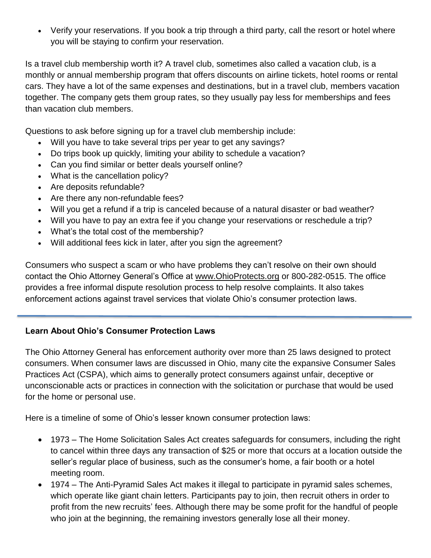• Verify your reservations. If you book a trip through a third party, call the resort or hotel where you will be staying to confirm your reservation.

Is a travel club membership worth it? A travel club, sometimes also called a vacation club, is a monthly or annual membership program that offers discounts on airline tickets, hotel rooms or rental cars. They have a lot of the same expenses and destinations, but in a travel club, members vacation together. The company gets them group rates, so they usually pay less for memberships and fees than vacation club members.

Questions to ask before signing up for a travel club membership include:

- Will you have to take several trips per year to get any savings?
- Do trips book up quickly, limiting your ability to schedule a vacation?
- Can you find similar or better deals yourself online?
- What is the cancellation policy?
- Are deposits refundable?
- Are there any non-refundable fees?
- Will you get a refund if a trip is canceled because of a natural disaster or bad weather?
- Will you have to pay an extra fee if you change your reservations or reschedule a trip?
- What's the total cost of the membership?
- Will additional fees kick in later, after you sign the agreement?

Consumers who suspect a scam or who have problems they can't resolve on their own should contact the Ohio Attorney General's Office at [www.OhioProtects.org](http://www.ohioprotects.org/) or 800-282-0515. The office provides a free informal dispute resolution process to help resolve complaints. It also takes enforcement actions against travel services that violate Ohio's consumer protection laws.

#### **Learn About Ohio's Consumer Protection Laws**

The Ohio Attorney General has enforcement authority over more than 25 laws designed to protect consumers. When consumer laws are discussed in Ohio, many cite the expansive Consumer Sales Practices Act (CSPA), which aims to generally protect consumers against unfair, deceptive or unconscionable acts or practices in connection with the solicitation or purchase that would be used for the home or personal use.

Here is a timeline of some of Ohio's lesser known consumer protection laws:

- 1973 The Home Solicitation Sales Act creates safeguards for consumers, including the right to cancel within three days any transaction of \$25 or more that occurs at a location outside the seller's regular place of business, such as the consumer's home, a fair booth or a hotel meeting room.
- 1974 The Anti-Pyramid Sales Act makes it illegal to participate in pyramid sales schemes, which operate like giant chain letters. Participants pay to join, then recruit others in order to profit from the new recruits' fees. Although there may be some profit for the handful of people who join at the beginning, the remaining investors generally lose all their money.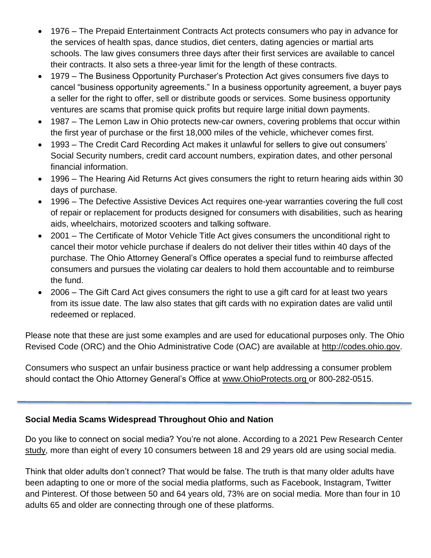- 1976 The Prepaid Entertainment Contracts Act protects consumers who pay in advance for the services of health spas, dance studios, diet centers, dating agencies or martial arts schools. The law gives consumers three days after their first services are available to cancel their contracts. It also sets a three-year limit for the length of these contracts.
- 1979 The Business Opportunity Purchaser's Protection Act gives consumers five days to cancel "business opportunity agreements." In a business opportunity agreement, a buyer pays a seller for the right to offer, sell or distribute goods or services. Some business opportunity ventures are scams that promise quick profits but require large initial down payments.
- 1987 The Lemon Law in Ohio protects new-car owners, covering problems that occur within the first year of purchase or the first 18,000 miles of the vehicle, whichever comes first.
- 1993 The Credit Card Recording Act makes it unlawful for sellers to give out consumers' Social Security numbers, credit card account numbers, expiration dates, and other personal financial information.
- 1996 The Hearing Aid Returns Act gives consumers the right to return hearing aids within 30 days of purchase.
- 1996 The Defective Assistive Devices Act requires one-year warranties covering the full cost of repair or replacement for products designed for consumers with disabilities, such as hearing aids, wheelchairs, motorized scooters and talking software.
- 2001 The Certificate of Motor Vehicle Title Act gives consumers the unconditional right to cancel their motor vehicle purchase if dealers do not deliver their titles within 40 days of the purchase. The Ohio Attorney General's Office operates a special fund to reimburse affected consumers and pursues the violating car dealers to hold them accountable and to reimburse the fund.
- 2006 The Gift Card Act gives consumers the right to use a gift card for at least two years from its issue date. The law also states that gift cards with no expiration dates are valid until redeemed or replaced.

Please note that these are just some examples and are used for educational purposes only. The Ohio Revised Code (ORC) and the Ohio Administrative Code (OAC) are available at [http://codes.ohio.gov.](http://codes.ohio.gov/)

Consumers who suspect an unfair business practice or want help addressing a consumer problem should contact the Ohio Attorney General's Office at [www.OhioProtects.org](http://www.ohioprotects.org/) or 800-282-0515.

#### **Social Media Scams Widespread Throughout Ohio and Nation**

Do you like to connect on social media? You're not alone. According to a 2021 Pew Research Center [study,](https://www.pewresearch.org/internet/2021/04/07/social-media-use-in-2021/) more than eight of every 10 consumers between 18 and 29 years old are using social media.

Think that older adults don't connect? That would be false. The truth is that many older adults have been adapting to one or more of the social media platforms, such as Facebook, Instagram, Twitter and Pinterest. Of those between 50 and 64 years old, 73% are on social media. More than four in 10 adults 65 and older are connecting through one of these platforms.